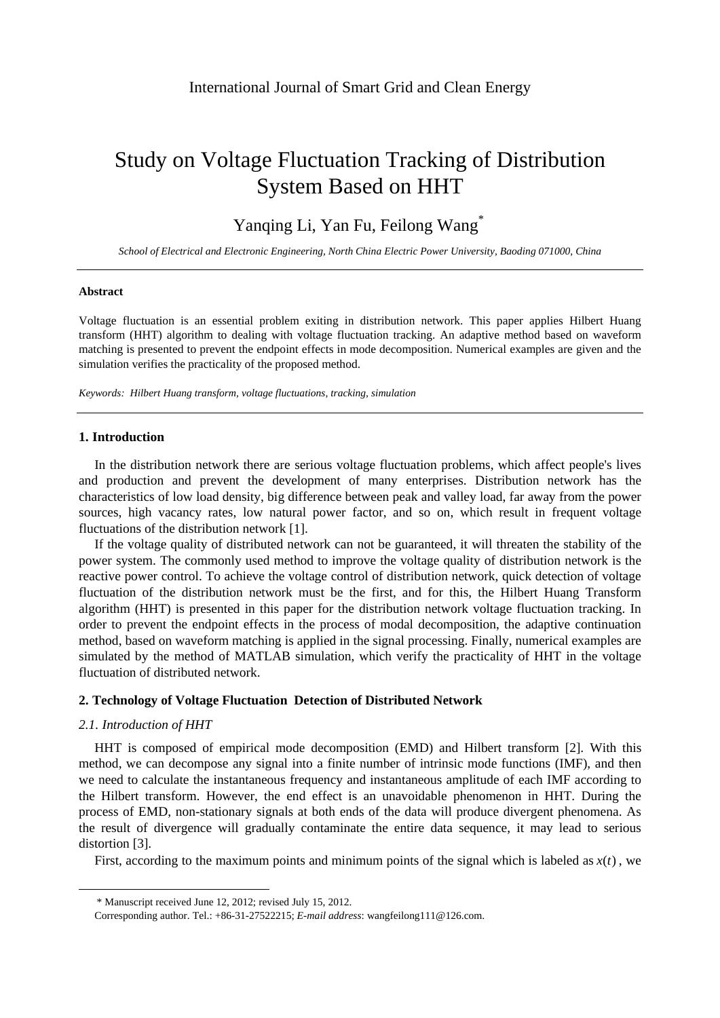# Study on Voltage Fluctuation Tracking of Distribution System Based on HHT

Yanqing Li, Yan Fu, Feilong Wang\*

*School of Electrical and Electronic Engineering, North China Electric Power University, Baoding 071000, China* 

#### **Abstract**

Voltage fluctuation is an essential problem exiting in distribution network. This paper applies Hilbert Huang transform (HHT) algorithm to dealing with voltage fluctuation tracking. An adaptive method based on waveform matching is presented to prevent the endpoint effects in mode decomposition. Numerical examples are given and the simulation verifies the practicality of the proposed method.

*Keywords: Hilbert Huang transform, voltage fluctuations, tracking, simulation* 

### **1. Introduction**

In the distribution network there are serious voltage fluctuation problems, which affect people's lives and production and prevent the development of many enterprises. Distribution network has the characteristics of low load density, big difference between peak and valley load, far away from the power sources, high vacancy rates, low natural power factor, and so on, which result in frequent voltage fluctuations of the distribution network [1].

If the voltage quality of distributed network can not be guaranteed, it will threaten the stability of the power system. The commonly used method to improve the voltage quality of distribution network is the reactive power control. To achieve the voltage control of distribution network, quick detection of voltage fluctuation of the distribution network must be the first, and for this, the Hilbert Huang Transform algorithm (HHT) is presented in this paper for the distribution network voltage fluctuation tracking. In order to prevent the endpoint effects in the process of modal decomposition, the adaptive continuation method, based on waveform matching is applied in the signal processing. Finally, numerical examples are simulated by the method of MATLAB simulation, which verify the practicality of HHT in the voltage fluctuation of distributed network.

# **2. Technology of Voltage Fluctuation Detection of Distributed Network**

## *2.1. Introduction of HHT*

-

HHT is composed of empirical mode decomposition (EMD) and Hilbert transform [2]. With this method, we can decompose any signal into a finite number of intrinsic mode functions (IMF), and then we need to calculate the instantaneous frequency and instantaneous amplitude of each IMF according to the Hilbert transform. However, the end effect is an unavoidable phenomenon in HHT. During the process of EMD, non-stationary signals at both ends of the data will produce divergent phenomena. As the result of divergence will gradually contaminate the entire data sequence, it may lead to serious distortion [3].

First, according to the maximum points and minimum points of the signal which is labeled as  $x(t)$ , we

<sup>\*</sup> Manuscript received June 12, 2012; revised July 15, 2012.

Corresponding author. Tel.: +86-31-27522215; *E-mail address*: wangfeilong111@126.com.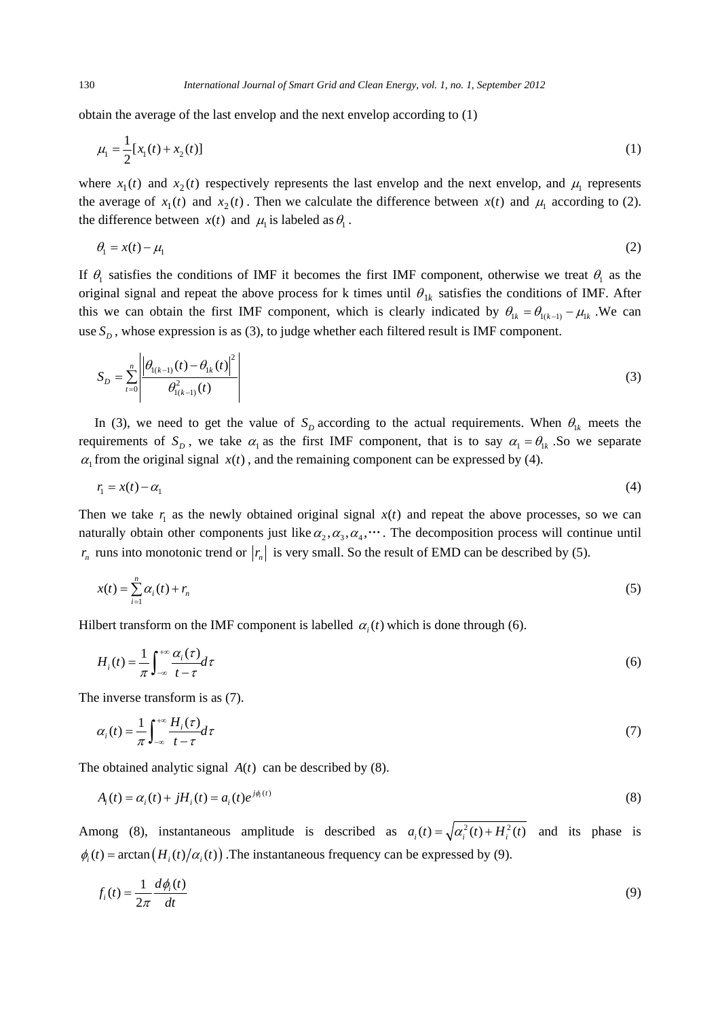obtain the average of the last envelop and the next envelop according to (1)

$$
\mu_1 = \frac{1}{2} [x_1(t) + x_2(t)] \tag{1}
$$

where  $x_1(t)$  and  $x_2(t)$  respectively represents the last envelop and the next envelop, and  $\mu_1$  represents the average of  $x_1(t)$  and  $x_2(t)$ . Then we calculate the difference between  $x(t)$  and  $\mu_1$  according to (2). the difference between  $x(t)$  and  $\mu_i$  is labeled as  $\theta_i$ .

$$
\theta_1 = x(t) - \mu_1 \tag{2}
$$

If  $\theta_1$  satisfies the conditions of IMF it becomes the first IMF component, otherwise we treat  $\theta_1$  as the original signal and repeat the above process for k times until  $\theta_{1k}$  satisfies the conditions of IMF. After this we can obtain the first IMF component, which is clearly indicated by  $\theta_{1k} = \theta_{1(k-1)} - \mu_{1k}$ . We can use  $S_p$ , whose expression is as (3), to judge whether each filtered result is IMF component.

$$
S_D = \sum_{t=0}^{n} \left| \frac{\left| \theta_{1(k-1)}(t) - \theta_{1k}(t) \right|^2}{\theta_{1(k-1)}^2(t)} \right|
$$
 (3)

In (3), we need to get the value of  $S_p$  according to the actual requirements. When  $\theta_{1k}$  meets the requirements of  $S_p$ , we take  $\alpha_1$  as the first IMF component, that is to say  $\alpha_1 = \theta_{1k}$ . So we separate  $\alpha_1$  from the original signal  $x(t)$ , and the remaining component can be expressed by (4).

$$
r_1 = x(t) - \alpha_1 \tag{4}
$$

Then we take  $r_1$  as the newly obtained original signal  $x(t)$  and repeat the above processes, so we can naturally obtain other components just like  $\alpha_2, \alpha_3, \alpha_4, \cdots$ . The decomposition process will continue until  $r_n$  runs into monotonic trend or  $|r_n|$  is very small. So the result of EMD can be described by (5).

$$
x(t) = \sum_{i=1}^{n} \alpha_i(t) + r_n \tag{5}
$$

Hilbert transform on the IMF component is labelled  $\alpha_i(t)$  which is done through (6).

$$
H_i(t) = \frac{1}{\pi} \int_{-\infty}^{+\infty} \frac{\alpha_i(\tau)}{t - \tau} d\tau
$$
\n<sup>(6)</sup>

The inverse transform is as (7).

$$
\alpha_i(t) = \frac{1}{\pi} \int_{-\infty}^{+\infty} \frac{H_i(\tau)}{t - \tau} d\tau
$$
\n(7)

The obtained analytic signal  $A(t)$  can be described by (8).

$$
A_i(t) = \alpha_i(t) + jH_i(t) = a_i(t)e^{j\phi_i(t)}
$$
\n(8)

Among (8), instantaneous amplitude is described as  $a_i(t) = \sqrt{\alpha_i^2(t) + H_i^2(t)}$  and its phase is  $\phi_i(t) = \arctan(H_i(t)/\alpha_i(t))$ . The instantaneous frequency can be expressed by (9).

$$
f_i(t) = \frac{1}{2\pi} \frac{d\phi_i(t)}{dt} \tag{9}
$$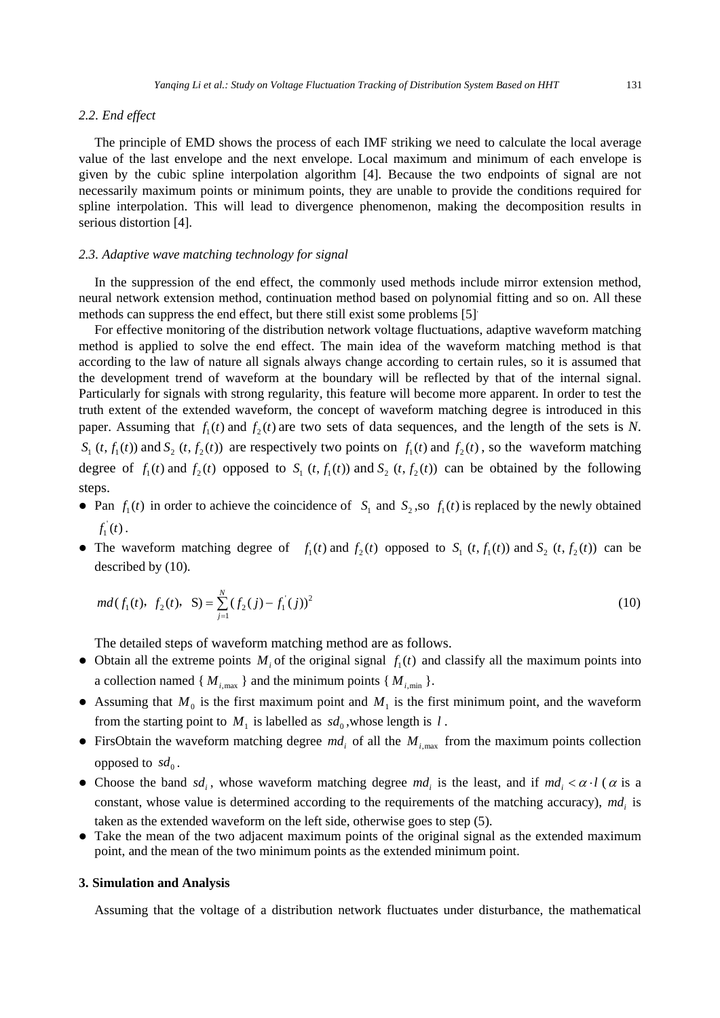# *2.2. End effect*

The principle of EMD shows the process of each IMF striking we need to calculate the local average value of the last envelope and the next envelope. Local maximum and minimum of each envelope is given by the cubic spline interpolation algorithm [4]. Because the two endpoints of signal are not necessarily maximum points or minimum points, they are unable to provide the conditions required for spline interpolation. This will lead to divergence phenomenon, making the decomposition results in serious distortion [4].

#### *2.3. Adaptive wave matching technology for signal*

In the suppression of the end effect, the commonly used methods include mirror extension method, neural network extension method, continuation method based on polynomial fitting and so on. All these methods can suppress the end effect, but there still exist some problems [5].

For effective monitoring of the distribution network voltage fluctuations, adaptive waveform matching method is applied to solve the end effect. The main idea of the waveform matching method is that according to the law of nature all signals always change according to certain rules, so it is assumed that the development trend of waveform at the boundary will be reflected by that of the internal signal. Particularly for signals with strong regularity, this feature will become more apparent. In order to test the truth extent of the extended waveform, the concept of waveform matching degree is introduced in this paper. Assuming that  $f_1(t)$  and  $f_2(t)$  are two sets of data sequences, and the length of the sets is *N*.  $S_1$  (*t*,  $f_1(t)$ ) and  $S_2$  (*t*,  $f_2(t)$ ) are respectively two points on  $f_1(t)$  and  $f_2(t)$ , so the waveform matching degree of  $f_1(t)$  and  $f_2(t)$  opposed to  $S_1(t, f_1(t))$  and  $S_2(t, f_2(t))$  can be obtained by the following steps.

- Pan  $f_1(t)$  in order to achieve the coincidence of  $S_1$  and  $S_2$ , so  $f_1(t)$  is replaced by the newly obtained  $f_1^{\prime}(t)$ .
- The waveform matching degree of  $f_1(t)$  and  $f_2(t)$  opposed to  $S_1(t, f_1(t))$  and  $S_2(t, f_2(t))$  can be described by (10).

$$
md(f_1(t), f_2(t), S) = \sum_{j=1}^{N} (f_2(j) - f_1(j))^2
$$
\n(10)

The detailed steps of waveform matching method are as follows.

- Obtain all the extreme points  $M_i$  of the original signal  $f_i(t)$  and classify all the maximum points into a collection named { $M_{i, \text{max}}$ } and the minimum points { $M_{i, \text{min}}$  }.
- Assuming that  $M_0$  is the first maximum point and  $M_1$  is the first minimum point, and the waveform from the starting point to  $M_1$  is labelled as  $sd_0$ , whose length is  $l$ .
- FirsObtain the waveform matching degree  $md_i$  of all the  $M_{i, max}$  from the maximum points collection opposed to  $sd_0$ .
- Choose the band  $sd_i$ , whose waveform matching degree  $md_i$  is the least, and if  $md_i < \alpha \cdot l$  ( $\alpha$  is a constant, whose value is determined according to the requirements of the matching accuracy), *md<sub>i</sub>* is taken as the extended waveform on the left side, otherwise goes to step (5).
- Take the mean of the two adjacent maximum points of the original signal as the extended maximum point, and the mean of the two minimum points as the extended minimum point.

## **3. Simulation and Analysis**

Assuming that the voltage of a distribution network fluctuates under disturbance, the mathematical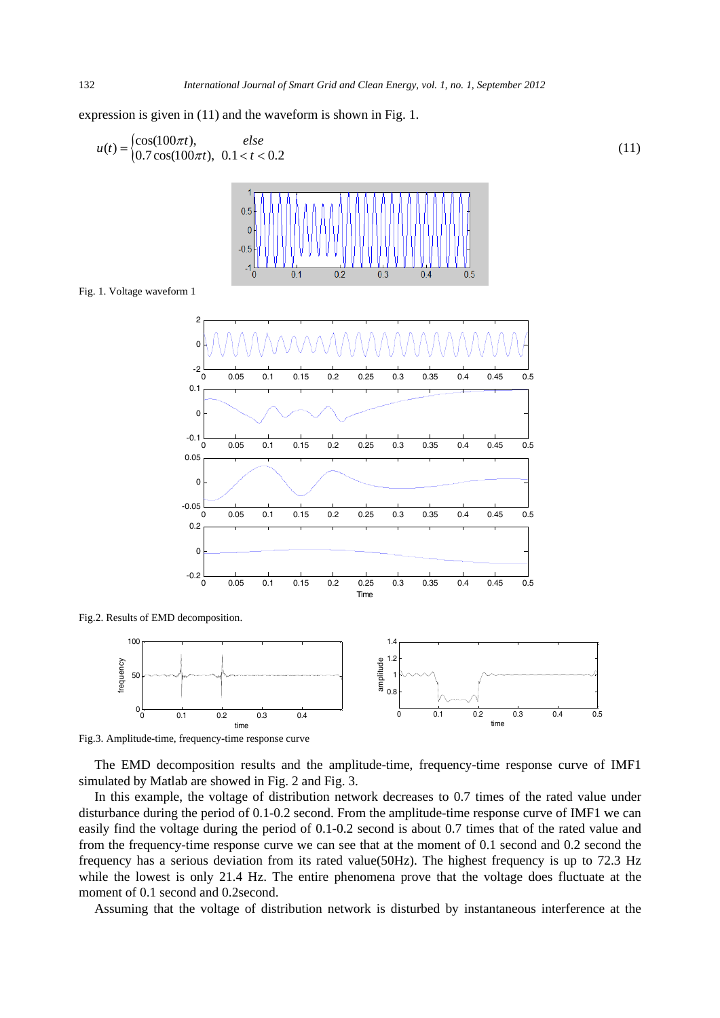expression is given in (11) and the waveform is shown in Fig. 1.

$$
u(t) = \begin{cases} \cos(100\pi t), & else \\ 0.7\cos(100\pi t), & 0.1 < t < 0.2 \end{cases}
$$
 (11)



Fig. 1. Voltage waveform 1



Fig.2. Results of EMD decomposition.



Fig.3. Amplitude-time, frequency-time response curve

The EMD decomposition results and the amplitude-time, frequency-time response curve of IMF1 simulated by Matlab are showed in Fig. 2 and Fig. 3.

In this example, the voltage of distribution network decreases to 0.7 times of the rated value under disturbance during the period of 0.1-0.2 second. From the amplitude-time response curve of IMF1 we can easily find the voltage during the period of 0.1-0.2 second is about 0.7 times that of the rated value and from the frequency-time response curve we can see that at the moment of 0.1 second and 0.2 second the frequency has a serious deviation from its rated value(50Hz). The highest frequency is up to 72.3 Hz while the lowest is only 21.4 Hz. The entire phenomena prove that the voltage does fluctuate at the moment of 0.1 second and 0.2second.

Assuming that the voltage of distribution network is disturbed by instantaneous interference at the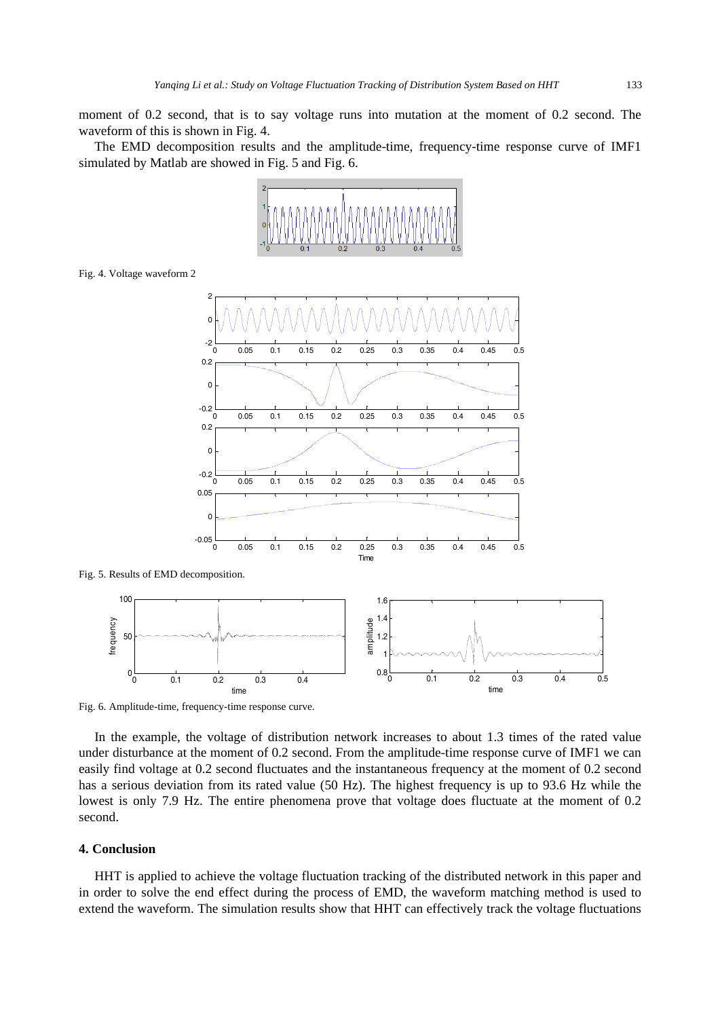moment of 0.2 second, that is to say voltage runs into mutation at the moment of 0.2 second. The waveform of this is shown in Fig. 4.

The EMD decomposition results and the amplitude-time, frequency-time response curve of IMF1 simulated by Matlab are showed in Fig. 5 and Fig. 6.



Fig. 4. Voltage waveform 2



Fig. 5. Results of EMD decomposition.



Fig. 6. Amplitude-time, frequency-time response curve.

In the example, the voltage of distribution network increases to about 1.3 times of the rated value under disturbance at the moment of 0.2 second. From the amplitude-time response curve of IMF1 we can easily find voltage at 0.2 second fluctuates and the instantaneous frequency at the moment of 0.2 second has a serious deviation from its rated value (50 Hz). The highest frequency is up to 93.6 Hz while the lowest is only 7.9 Hz. The entire phenomena prove that voltage does fluctuate at the moment of 0.2 second.

# **4. Conclusion**

HHT is applied to achieve the voltage fluctuation tracking of the distributed network in this paper and in order to solve the end effect during the process of EMD, the waveform matching method is used to extend the waveform. The simulation results show that HHT can effectively track the voltage fluctuations